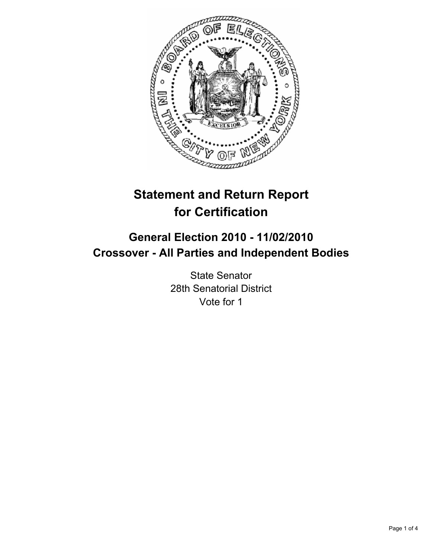

## **Statement and Return Report for Certification**

## **General Election 2010 - 11/02/2010 Crossover - All Parties and Independent Bodies**

State Senator 28th Senatorial District Vote for 1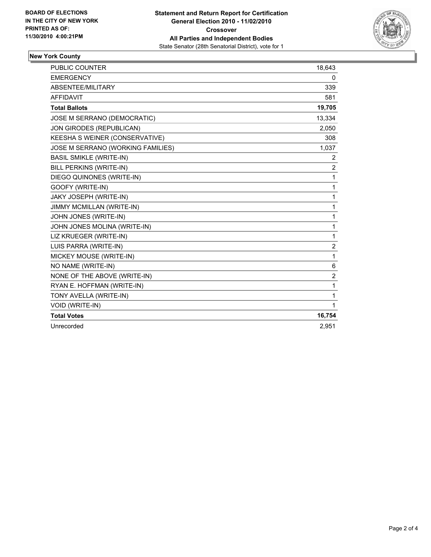

## **New York County**

| <b>PUBLIC COUNTER</b>             | 18,643         |
|-----------------------------------|----------------|
| <b>EMERGENCY</b>                  | 0              |
| ABSENTEE/MILITARY                 | 339            |
| <b>AFFIDAVIT</b>                  | 581            |
| <b>Total Ballots</b>              | 19,705         |
| JOSE M SERRANO (DEMOCRATIC)       | 13,334         |
| JON GIRODES (REPUBLICAN)          | 2,050          |
| KEESHA S WEINER (CONSERVATIVE)    | 308            |
| JOSE M SERRANO (WORKING FAMILIES) | 1,037          |
| <b>BASIL SMIKLE (WRITE-IN)</b>    | 2              |
| BILL PERKINS (WRITE-IN)           | 2              |
| DIEGO QUINONES (WRITE-IN)         | 1              |
| GOOFY (WRITE-IN)                  | 1              |
| JAKY JOSEPH (WRITE-IN)            | 1              |
| <b>JIMMY MCMILLAN (WRITE-IN)</b>  | 1              |
| JOHN JONES (WRITE-IN)             | 1              |
| JOHN JONES MOLINA (WRITE-IN)      | 1              |
| LIZ KRUEGER (WRITE-IN)            | 1              |
| LUIS PARRA (WRITE-IN)             | 2              |
| MICKEY MOUSE (WRITE-IN)           | 1              |
| NO NAME (WRITE-IN)                | 6              |
| NONE OF THE ABOVE (WRITE-IN)      | $\overline{2}$ |
| RYAN E. HOFFMAN (WRITE-IN)        | 1              |
| TONY AVELLA (WRITE-IN)            | 1              |
| <b>VOID (WRITE-IN)</b>            | 1              |
| <b>Total Votes</b>                | 16,754         |
| Unrecorded                        | 2.951          |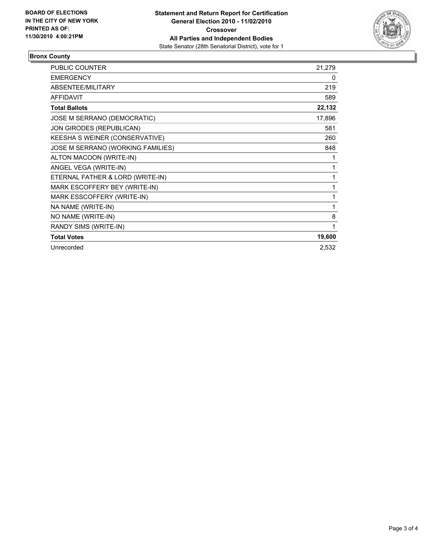

## **Bronx County**

| <b>PUBLIC COUNTER</b>             | 21,279 |
|-----------------------------------|--------|
| <b>EMERGENCY</b>                  | 0      |
| <b>ABSENTEE/MILITARY</b>          | 219    |
| <b>AFFIDAVIT</b>                  | 589    |
| <b>Total Ballots</b>              | 22,132 |
| JOSE M SERRANO (DEMOCRATIC)       | 17,896 |
| JON GIRODES (REPUBLICAN)          | 581    |
| KEESHA S WEINER (CONSERVATIVE)    | 260    |
| JOSE M SERRANO (WORKING FAMILIES) | 848    |
| ALTON MACOON (WRITE-IN)           | 1      |
| ANGEL VEGA (WRITE-IN)             | 1      |
| ETERNAL FATHER & LORD (WRITE-IN)  | 1      |
| MARK ESCOFFERY BEY (WRITE-IN)     | 1      |
| MARK ESSCOFFERY (WRITE-IN)        | 1      |
| NA NAME (WRITE-IN)                | 1      |
| NO NAME (WRITE-IN)                | 8      |
| RANDY SIMS (WRITE-IN)             | 1      |
| <b>Total Votes</b>                | 19,600 |
| Unrecorded                        | 2,532  |